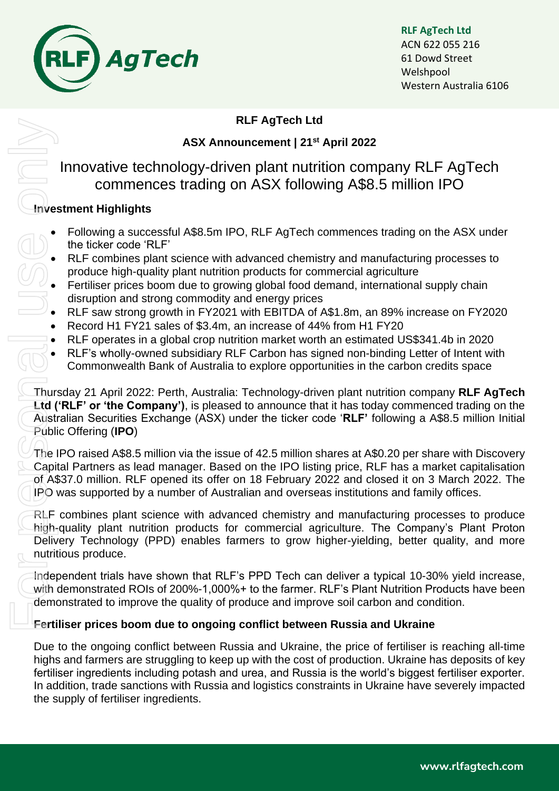

## **RLF AgTech Ltd**

# **ASX Announcement | 21 st April 2022**

# Innovative technology-driven plant nutrition company RLF AgTech commences trading on ASX following A\$8.5 million IPO

# **Investment Highlights**

- Following a successful A\$8.5m IPO, RLF AgTech commences trading on the ASX under the ticker code 'RLF'
- RLF combines plant science with advanced chemistry and manufacturing processes to produce high-quality plant nutrition products for commercial agriculture
- Fertiliser prices boom due to growing global food demand, international supply chain disruption and strong commodity and energy prices
- RLF saw strong growth in FY2021 with EBITDA of A\$1.8m, an 89% increase on FY2020
- Record H1 FY21 sales of \$3.4m, an increase of 44% from H1 FY20
- RLF operates in a global crop nutrition market worth an estimated US\$341.4b in 2020
- RLF's wholly-owned subsidiary RLF Carbon has signed non-binding Letter of Intent with Commonwealth Bank of Australia to explore opportunities in the carbon credits space

Thursday 21 April 2022: Perth, Australia: Technology-driven plant nutrition company **RLF AgTech Ltd ('RLF' or 'the Company')**, is pleased to announce that it has today commenced trading on the Australian Securities Exchange (ASX) under the ticker code '**RLF'** following a A\$8.5 million Initial Public Offering (**IPO**) For Personal University<br>
For Personal University<br>
Capital Capital University<br>
Capital University<br>
Capital University<br>
Deliversity<br>
Thigh-Delivers<br>
The Ligh-Delivers<br>
The Ligh-Delivers<br>
The Ligh-Delivers<br>
The Ligh-Delivers<br>

The IPO raised A\$8.5 million via the issue of 42.5 million shares at A\$0.20 per share with Discovery Capital Partners as lead manager. Based on the IPO listing price, RLF has a market capitalisation of A\$37.0 million. RLF opened its offer on 18 February 2022 and closed it on 3 March 2022. The IPO was supported by a number of Australian and overseas institutions and family offices.

RLF combines plant science with advanced chemistry and manufacturing processes to produce high-quality plant nutrition products for commercial agriculture. The Company's Plant Proton Delivery Technology (PPD) enables farmers to grow higher-yielding, better quality, and more nutritious produce.

Independent trials have shown that RLF's PPD Tech can deliver a typical 10-30% yield increase, with demonstrated ROIs of 200%-1,000%+ to the farmer. RLF's Plant Nutrition Products have been demonstrated to improve the quality of produce and improve soil carbon and condition.

### **Fertiliser prices boom due to ongoing conflict between Russia and Ukraine**

Due to the ongoing conflict between Russia and Ukraine, the price of fertiliser is reaching all-time highs and farmers are struggling to keep up with the cost of production. Ukraine has deposits of key fertiliser ingredients including potash and urea, and Russia is the world's biggest fertiliser exporter. In addition, trade sanctions with Russia and logistics constraints in Ukraine have severely impacted the supply of fertiliser ingredients.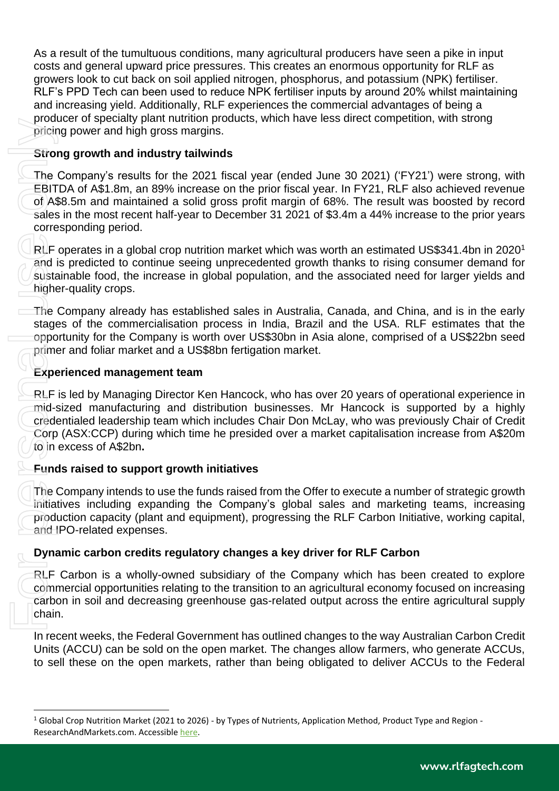As a result of the tumultuous conditions, many agricultural producers have seen a pike in input costs and general upward price pressures. This creates an enormous opportunity for RLF as growers look to cut back on soil applied nitrogen, phosphorus, and potassium (NPK) fertiliser. RLF's PPD Tech can been used to reduce NPK fertiliser inputs by around 20% whilst maintaining and increasing yield. Additionally, RLF experiences the commercial advantages of being a producer of specialty plant nutrition products, which have less direct competition, with strong pricing power and high gross margins.

# **Strong growth and industry tailwinds**

The Company's results for the 2021 fiscal year (ended June 30 2021) ('FY21') were strong, with EBITDA of A\$1.8m, an 89% increase on the prior fiscal year. In FY21, RLF also achieved revenue of A\$8.5m and maintained a solid gross profit margin of 68%. The result was boosted by record sales in the most recent half-year to December 31 2021 of \$3.4m a 44% increase to the prior years corresponding period. production specially per and high grows and high gross man strong growth and industry tail<br>The Company's results for the 2<br>EBITDA of A\$1.8m, an 89% increased and maintained a solic<br>sales in the most recent half-year<br>corre

RLF operates in a global crop nutrition market which was worth an estimated US\$341.4bn in 2020<sup>1</sup> and is predicted to continue seeing unprecedented growth thanks to rising consumer demand for sustainable food, the increase in global population, and the associated need for larger yields and higher-quality crops.

The Company already has established sales in Australia, Canada, and China, and is in the early stages of the commercialisation process in India, Brazil and the USA. RLF estimates that the opportunity for the Company is worth over US\$30bn in Asia alone, comprised of a US\$22bn seed primer and foliar market and a US\$8bn fertigation market.

# **Experienced management team**

RLF is led by Managing Director Ken Hancock, who has over 20 years of operational experience in mid-sized manufacturing and distribution businesses. Mr Hancock is supported by a highly credentialed leadership team which includes Chair Don McLay, who was previously Chair of Credit Corp (ASX:CCP) during which time he presided over a market capitalisation increase from A\$20m to in excess of A\$2bn**.** 

### **Funds raised to support growth initiatives**

The Company intends to use the funds raised from the Offer to execute a number of strategic growth initiatives including expanding the Company's global sales and marketing teams, increasing production capacity (plant and equipment), progressing the RLF Carbon Initiative, working capital, and IPO-related expenses.

### **Dynamic carbon credits regulatory changes a key driver for RLF Carbon**

RLF Carbon is a wholly-owned subsidiary of the Company which has been created to explore commercial opportunities relating to the transition to an agricultural economy focused on increasing carbon in soil and decreasing greenhouse gas-related output across the entire agricultural supply chain.

In recent weeks, the Federal Government has outlined changes to the way Australian Carbon Credit Units (ACCU) can be sold on the open market. The changes allow farmers, who generate ACCUs, to sell these on the open markets, rather than being obligated to deliver ACCUs to the Federal

<sup>1</sup> Global Crop Nutrition Market (2021 to 2026) - by Types of Nutrients, Application Method, Product Type and Region -